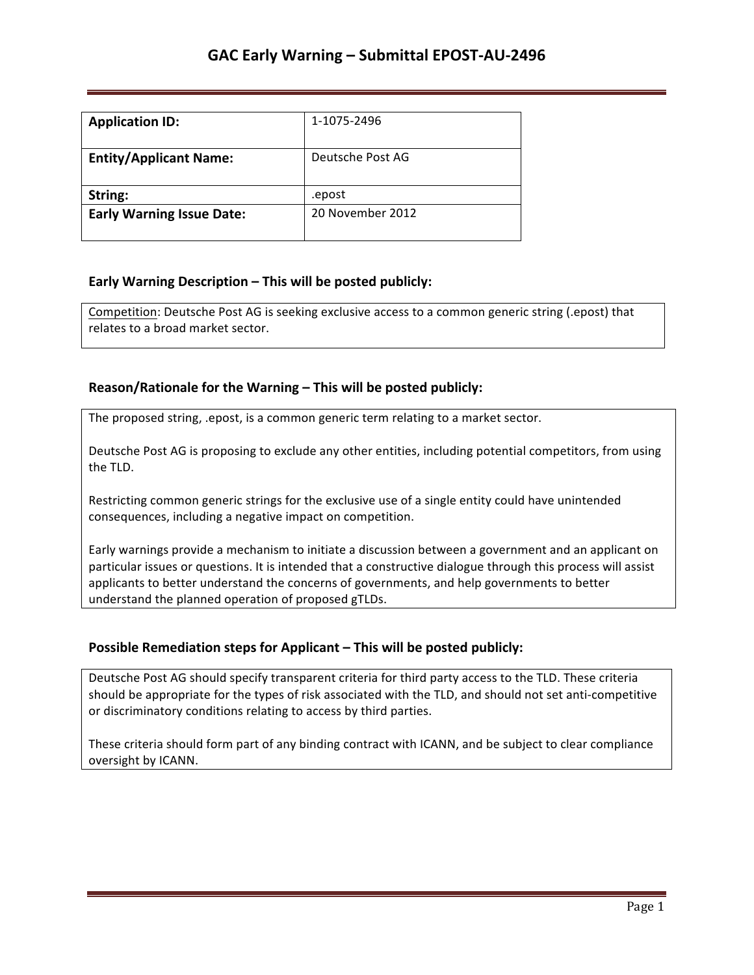| <b>Application ID:</b>           | 1-1075-2496      |
|----------------------------------|------------------|
| <b>Entity/Applicant Name:</b>    | Deutsche Post AG |
| String:                          | .epost           |
| <b>Early Warning Issue Date:</b> | 20 November 2012 |

## **Early Warning Description – This will be posted publicly:**

Competition: Deutsche Post AG is seeking exclusive access to a common generic string (.epost) that relates to a broad market sector.

## **Reason/Rationale for the Warning – This will be posted publicly:**

The proposed string, .epost, is a common generic term relating to a market sector.

Deutsche Post AG is proposing to exclude any other entities, including potential competitors, from using the TLD.

Restricting common generic strings for the exclusive use of a single entity could have unintended consequences, including a negative impact on competition.

Early warnings provide a mechanism to initiate a discussion between a government and an applicant on particular issues or questions. It is intended that a constructive dialogue through this process will assist applicants to better understand the concerns of governments, and help governments to better understand the planned operation of proposed gTLDs.

## **Possible Remediation steps for Applicant – This will be posted publicly:**

Deutsche Post AG should specify transparent criteria for third party access to the TLD. These criteria should be appropriate for the types of risk associated with the TLD, and should not set anti-competitive or discriminatory conditions relating to access by third parties.

These criteria should form part of any binding contract with ICANN, and be subject to clear compliance oversight by ICANN.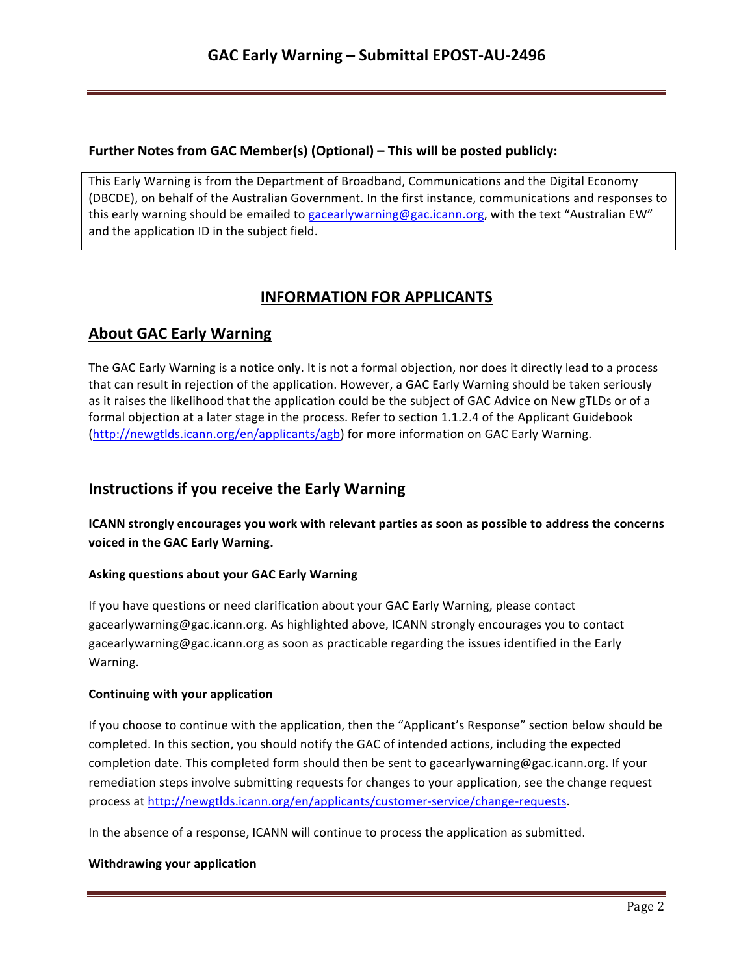## **Further Notes from GAC Member(s) (Optional) – This will be posted publicly:**

This Early Warning is from the Department of Broadband, Communications and the Digital Economy (DBCDE), on behalf of the Australian Government. In the first instance, communications and responses to this early warning should be emailed to gacearlywarning@gac.icann.org, with the text "Australian EW" and the application ID in the subject field.

# **INFORMATION FOR APPLICANTS**

## **About GAC Early Warning**

The GAC Early Warning is a notice only. It is not a formal objection, nor does it directly lead to a process that can result in rejection of the application. However, a GAC Early Warning should be taken seriously as it raises the likelihood that the application could be the subject of GAC Advice on New gTLDs or of a formal objection at a later stage in the process. Refer to section 1.1.2.4 of the Applicant Guidebook (http://newgtlds.icann.org/en/applicants/agb) for more information on GAC Early Warning.

## **Instructions if you receive the Early Warning**

**ICANN** strongly encourages you work with relevant parties as soon as possible to address the concerns voiced in the GAC Early Warning.

### **Asking questions about your GAC Early Warning**

If you have questions or need clarification about your GAC Early Warning, please contact gacearlywarning@gac.icann.org. As highlighted above, ICANN strongly encourages you to contact gacearlywarning@gac.icann.org as soon as practicable regarding the issues identified in the Early Warning. 

### **Continuing with your application**

If you choose to continue with the application, then the "Applicant's Response" section below should be completed. In this section, you should notify the GAC of intended actions, including the expected completion date. This completed form should then be sent to gacearlywarning@gac.icann.org. If your remediation steps involve submitting requests for changes to your application, see the change request process at http://newgtlds.icann.org/en/applicants/customer-service/change-requests.

In the absence of a response, ICANN will continue to process the application as submitted.

### **Withdrawing your application**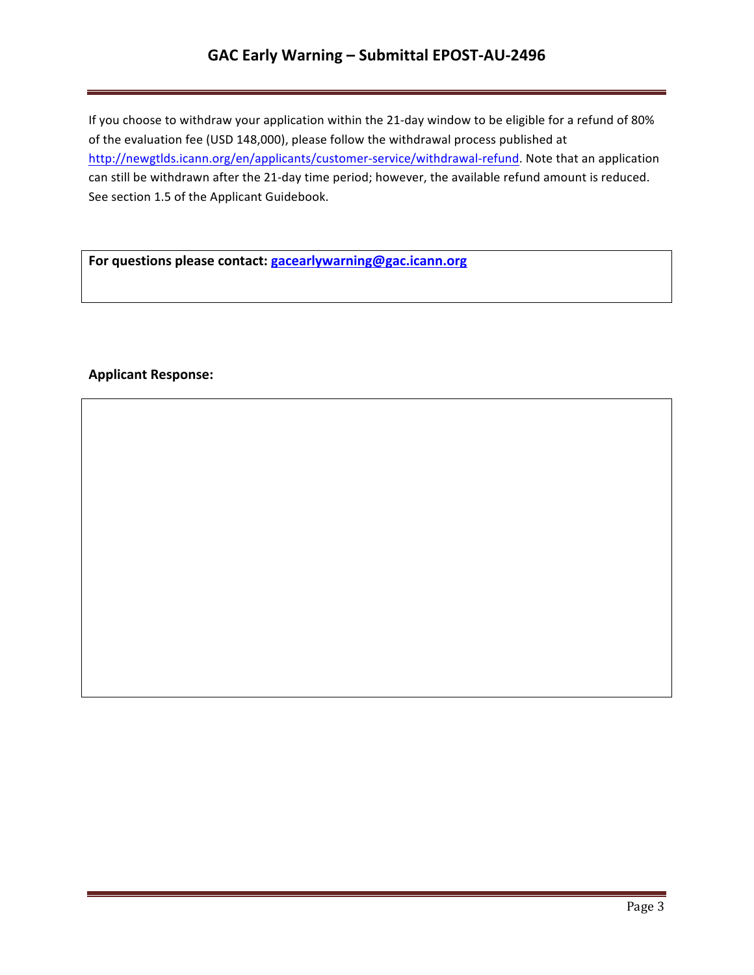# **GAC Early Warning – Submittal EPOST-AU-2496**

If you choose to withdraw your application within the 21-day window to be eligible for a refund of 80% of the evaluation fee (USD 148,000), please follow the withdrawal process published at http://newgtlds.icann.org/en/applicants/customer-service/withdrawal-refund. Note that an application can still be withdrawn after the 21-day time period; however, the available refund amount is reduced. See section 1.5 of the Applicant Guidebook.

For questions please contact: **gacearlywarning@gac.icann.org** 

### **Applicant Response:**